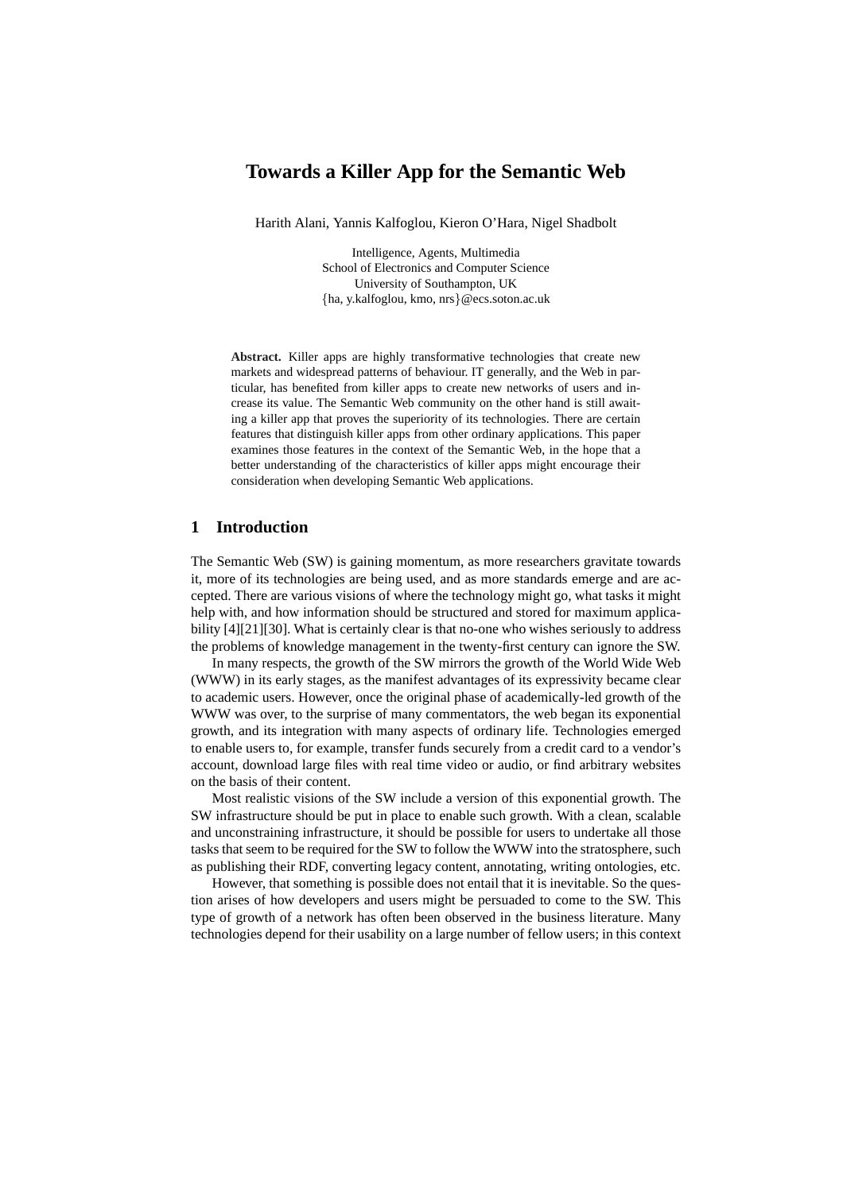# **Towards a Killer App for the Semantic Web**

Harith Alani, Yannis Kalfoglou, Kieron O'Hara, Nigel Shadbolt

Intelligence, Agents, Multimedia School of Electronics and Computer Science University of Southampton, UK {ha, y.kalfoglou, kmo, nrs}@ecs.soton.ac.uk

**Abstract.** Killer apps are highly transformative technologies that create new markets and widespread patterns of behaviour. IT generally, and the Web in particular, has benefited from killer apps to create new networks of users and increase its value. The Semantic Web community on the other hand is still awaiting a killer app that proves the superiority of its technologies. There are certain features that distinguish killer apps from other ordinary applications. This paper examines those features in the context of the Semantic Web, in the hope that a better understanding of the characteristics of killer apps might encourage their consideration when developing Semantic Web applications.

## **1 Introduction**

The Semantic Web (SW) is gaining momentum, as more researchers gravitate towards it, more of its technologies are being used, and as more standards emerge and are accepted. There are various visions of where the technology might go, what tasks it might help with, and how information should be structured and stored for maximum applicability [4][21][30]. What is certainly clear is that no-one who wishes seriously to address the problems of knowledge management in the twenty-first century can ignore the SW.

In many respects, the growth of the SW mirrors the growth of the World Wide Web (WWW) in its early stages, as the manifest advantages of its expressivity became clear to academic users. However, once the original phase of academically-led growth of the WWW was over, to the surprise of many commentators, the web began its exponential growth, and its integration with many aspects of ordinary life. Technologies emerged to enable users to, for example, transfer funds securely from a credit card to a vendor's account, download large files with real time video or audio, or find arbitrary websites on the basis of their content.

Most realistic visions of the SW include a version of this exponential growth. The SW infrastructure should be put in place to enable such growth. With a clean, scalable and unconstraining infrastructure, it should be possible for users to undertake all those tasks that seem to be required for the SW to follow the WWW into the stratosphere, such as publishing their RDF, converting legacy content, annotating, writing ontologies, etc.

However, that something is possible does not entail that it is inevitable. So the question arises of how developers and users might be persuaded to come to the SW. This type of growth of a network has often been observed in the business literature. Many technologies depend for their usability on a large number of fellow users; in this context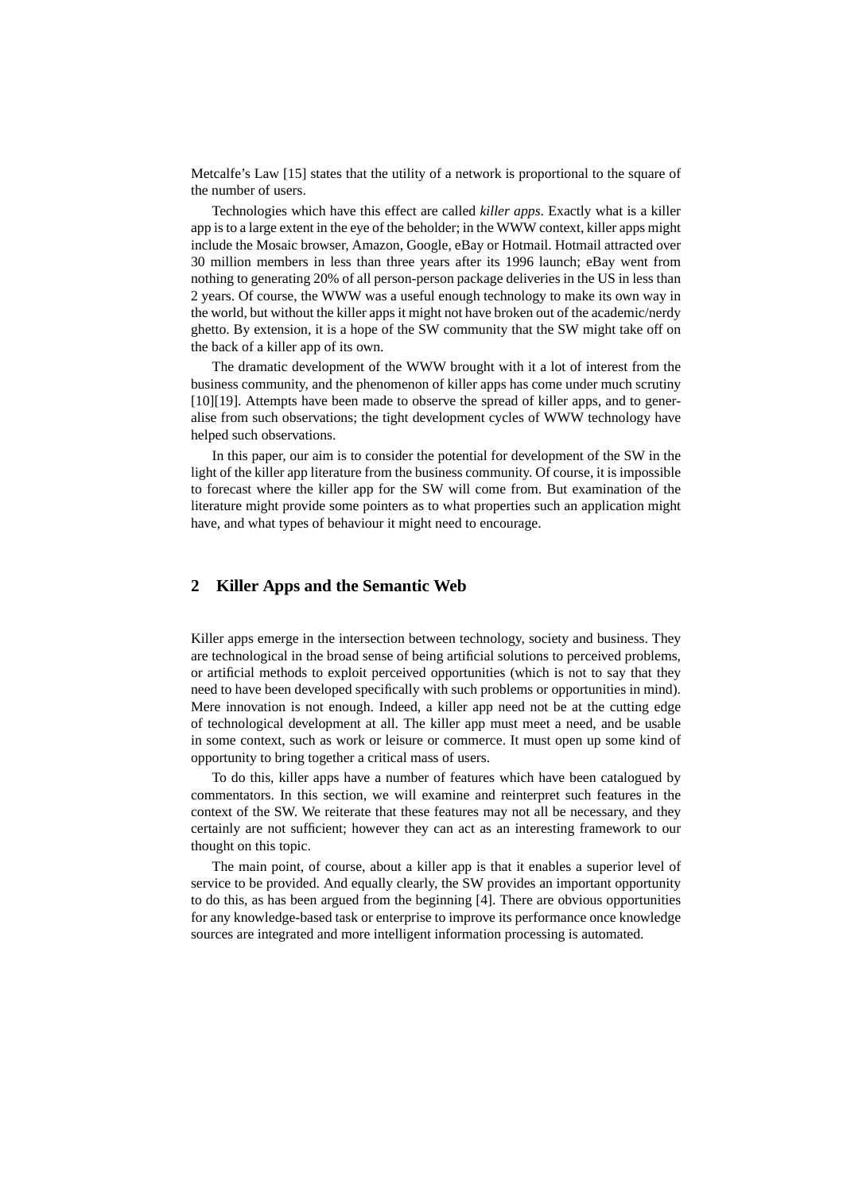Metcalfe's Law [15] states that the utility of a network is proportional to the square of the number of users.

Technologies which have this effect are called *killer apps*. Exactly what is a killer app is to a large extent in the eye of the beholder; in the WWW context, killer apps might include the Mosaic browser, Amazon, Google, eBay or Hotmail. Hotmail attracted over 30 million members in less than three years after its 1996 launch; eBay went from nothing to generating 20% of all person-person package deliveries in the US in less than 2 years. Of course, the WWW was a useful enough technology to make its own way in the world, but without the killer apps it might not have broken out of the academic/nerdy ghetto. By extension, it is a hope of the SW community that the SW might take off on the back of a killer app of its own.

The dramatic development of the WWW brought with it a lot of interest from the business community, and the phenomenon of killer apps has come under much scrutiny [10][19]. Attempts have been made to observe the spread of killer apps, and to generalise from such observations; the tight development cycles of WWW technology have helped such observations.

In this paper, our aim is to consider the potential for development of the SW in the light of the killer app literature from the business community. Of course, it is impossible to forecast where the killer app for the SW will come from. But examination of the literature might provide some pointers as to what properties such an application might have, and what types of behaviour it might need to encourage.

# **2 Killer Apps and the Semantic Web**

Killer apps emerge in the intersection between technology, society and business. They are technological in the broad sense of being artificial solutions to perceived problems, or artificial methods to exploit perceived opportunities (which is not to say that they need to have been developed specifically with such problems or opportunities in mind). Mere innovation is not enough. Indeed, a killer app need not be at the cutting edge of technological development at all. The killer app must meet a need, and be usable in some context, such as work or leisure or commerce. It must open up some kind of opportunity to bring together a critical mass of users.

To do this, killer apps have a number of features which have been catalogued by commentators. In this section, we will examine and reinterpret such features in the context of the SW. We reiterate that these features may not all be necessary, and they certainly are not sufficient; however they can act as an interesting framework to our thought on this topic.

The main point, of course, about a killer app is that it enables a superior level of service to be provided. And equally clearly, the SW provides an important opportunity to do this, as has been argued from the beginning [4]. There are obvious opportunities for any knowledge-based task or enterprise to improve its performance once knowledge sources are integrated and more intelligent information processing is automated.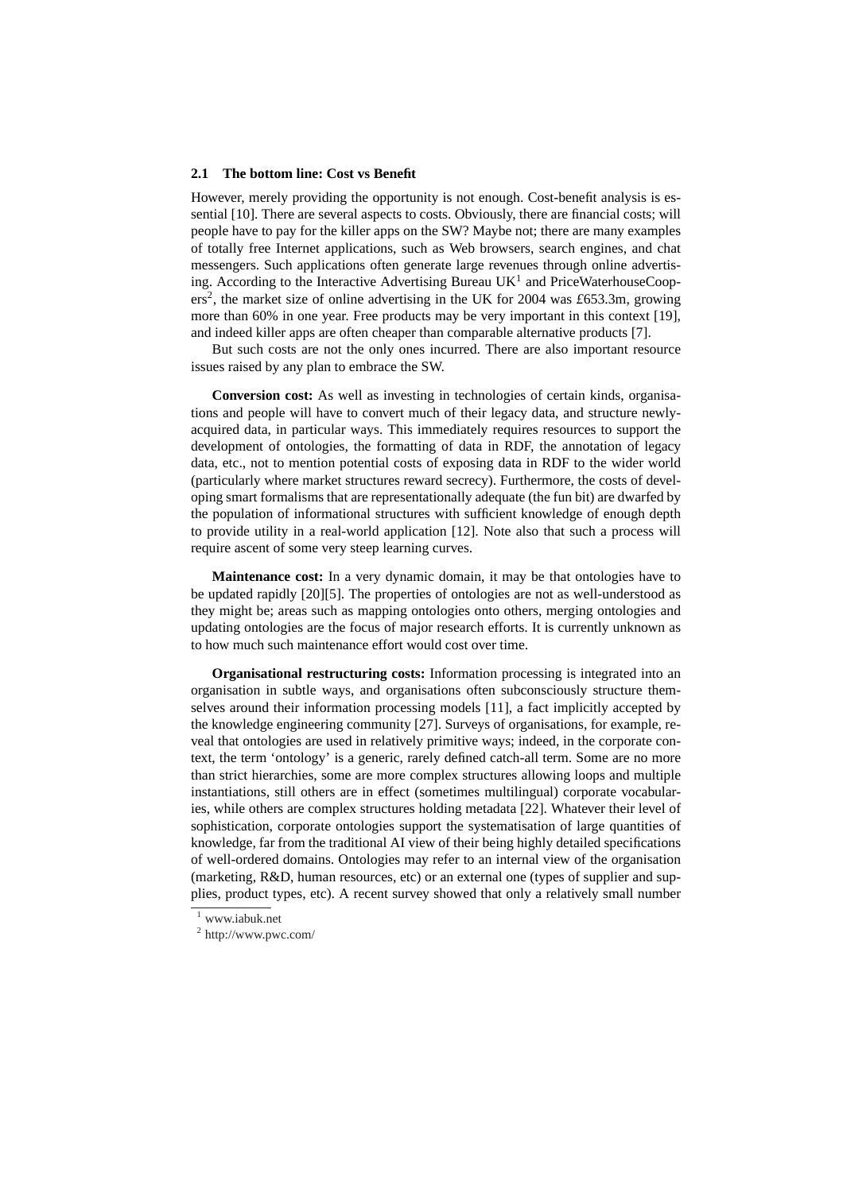#### **2.1 The bottom line: Cost vs Benefit**

However, merely providing the opportunity is not enough. Cost-benefit analysis is essential [10]. There are several aspects to costs. Obviously, there are financial costs; will people have to pay for the killer apps on the SW? Maybe not; there are many examples of totally free Internet applications, such as Web browsers, search engines, and chat messengers. Such applications often generate large revenues through online advertising. According to the Interactive Advertising Bureau UK<sup>1</sup> and PriceWaterhouseCoopers<sup>2</sup>, the market size of online advertising in the UK for 2004 was £653.3m, growing more than 60% in one year. Free products may be very important in this context [19], and indeed killer apps are often cheaper than comparable alternative products [7].

But such costs are not the only ones incurred. There are also important resource issues raised by any plan to embrace the SW.

**Conversion cost:** As well as investing in technologies of certain kinds, organisations and people will have to convert much of their legacy data, and structure newlyacquired data, in particular ways. This immediately requires resources to support the development of ontologies, the formatting of data in RDF, the annotation of legacy data, etc., not to mention potential costs of exposing data in RDF to the wider world (particularly where market structures reward secrecy). Furthermore, the costs of developing smart formalisms that are representationally adequate (the fun bit) are dwarfed by the population of informational structures with sufficient knowledge of enough depth to provide utility in a real-world application [12]. Note also that such a process will require ascent of some very steep learning curves.

**Maintenance cost:** In a very dynamic domain, it may be that ontologies have to be updated rapidly [20][5]. The properties of ontologies are not as well-understood as they might be; areas such as mapping ontologies onto others, merging ontologies and updating ontologies are the focus of major research efforts. It is currently unknown as to how much such maintenance effort would cost over time.

**Organisational restructuring costs:** Information processing is integrated into an organisation in subtle ways, and organisations often subconsciously structure themselves around their information processing models [11], a fact implicitly accepted by the knowledge engineering community [27]. Surveys of organisations, for example, reveal that ontologies are used in relatively primitive ways; indeed, in the corporate context, the term 'ontology' is a generic, rarely defined catch-all term. Some are no more than strict hierarchies, some are more complex structures allowing loops and multiple instantiations, still others are in effect (sometimes multilingual) corporate vocabularies, while others are complex structures holding metadata [22]. Whatever their level of sophistication, corporate ontologies support the systematisation of large quantities of knowledge, far from the traditional AI view of their being highly detailed specifications of well-ordered domains. Ontologies may refer to an internal view of the organisation (marketing, R&D, human resources, etc) or an external one (types of supplier and supplies, product types, etc). A recent survey showed that only a relatively small number

<sup>1</sup> www.iabuk.net

<sup>2</sup> http://www.pwc.com/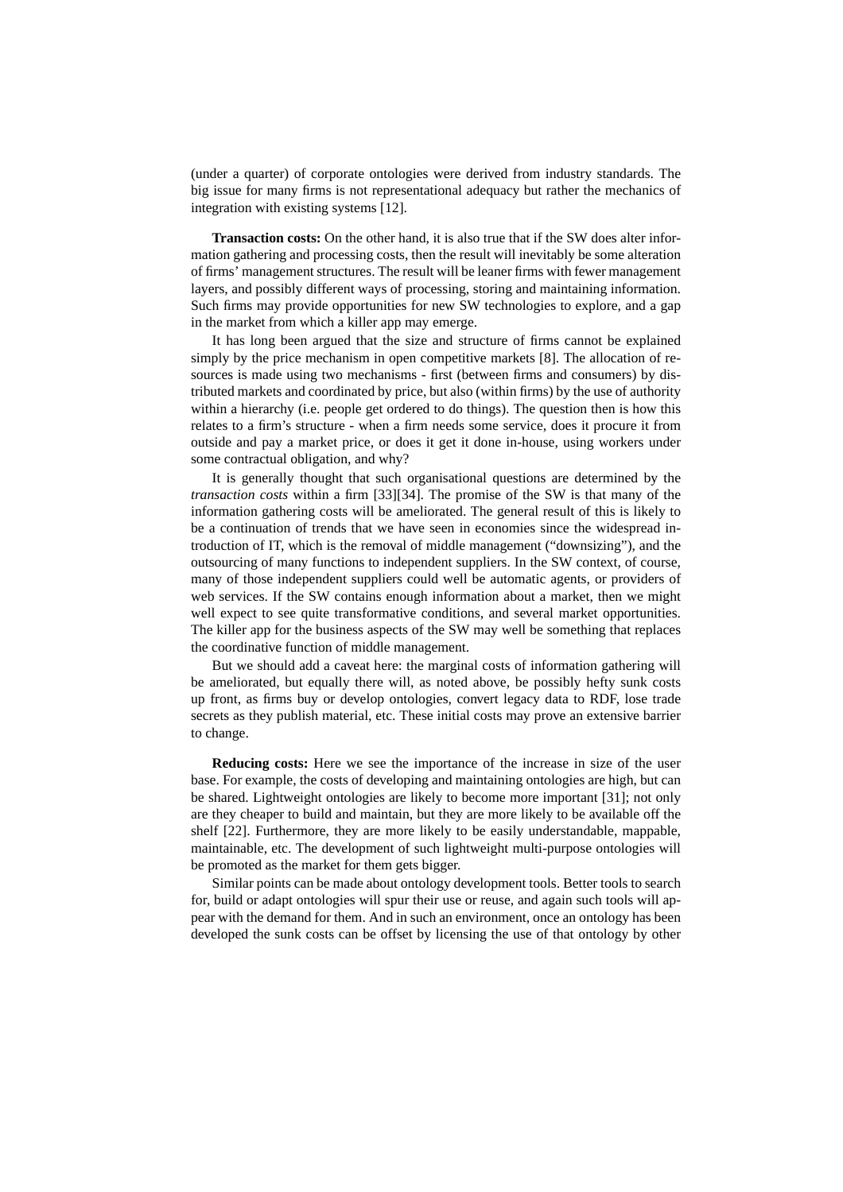(under a quarter) of corporate ontologies were derived from industry standards. The big issue for many firms is not representational adequacy but rather the mechanics of integration with existing systems [12].

**Transaction costs:** On the other hand, it is also true that if the SW does alter information gathering and processing costs, then the result will inevitably be some alteration of firms' management structures. The result will be leaner firms with fewer management layers, and possibly different ways of processing, storing and maintaining information. Such firms may provide opportunities for new SW technologies to explore, and a gap in the market from which a killer app may emerge.

It has long been argued that the size and structure of firms cannot be explained simply by the price mechanism in open competitive markets [8]. The allocation of resources is made using two mechanisms - first (between firms and consumers) by distributed markets and coordinated by price, but also (within firms) by the use of authority within a hierarchy (i.e. people get ordered to do things). The question then is how this relates to a firm's structure - when a firm needs some service, does it procure it from outside and pay a market price, or does it get it done in-house, using workers under some contractual obligation, and why?

It is generally thought that such organisational questions are determined by the *transaction costs* within a firm [33][34]. The promise of the SW is that many of the information gathering costs will be ameliorated. The general result of this is likely to be a continuation of trends that we have seen in economies since the widespread introduction of IT, which is the removal of middle management ("downsizing"), and the outsourcing of many functions to independent suppliers. In the SW context, of course, many of those independent suppliers could well be automatic agents, or providers of web services. If the SW contains enough information about a market, then we might well expect to see quite transformative conditions, and several market opportunities. The killer app for the business aspects of the SW may well be something that replaces the coordinative function of middle management.

But we should add a caveat here: the marginal costs of information gathering will be ameliorated, but equally there will, as noted above, be possibly hefty sunk costs up front, as firms buy or develop ontologies, convert legacy data to RDF, lose trade secrets as they publish material, etc. These initial costs may prove an extensive barrier to change.

**Reducing costs:** Here we see the importance of the increase in size of the user base. For example, the costs of developing and maintaining ontologies are high, but can be shared. Lightweight ontologies are likely to become more important [31]; not only are they cheaper to build and maintain, but they are more likely to be available off the shelf [22]. Furthermore, they are more likely to be easily understandable, mappable, maintainable, etc. The development of such lightweight multi-purpose ontologies will be promoted as the market for them gets bigger.

Similar points can be made about ontology development tools. Better tools to search for, build or adapt ontologies will spur their use or reuse, and again such tools will appear with the demand for them. And in such an environment, once an ontology has been developed the sunk costs can be offset by licensing the use of that ontology by other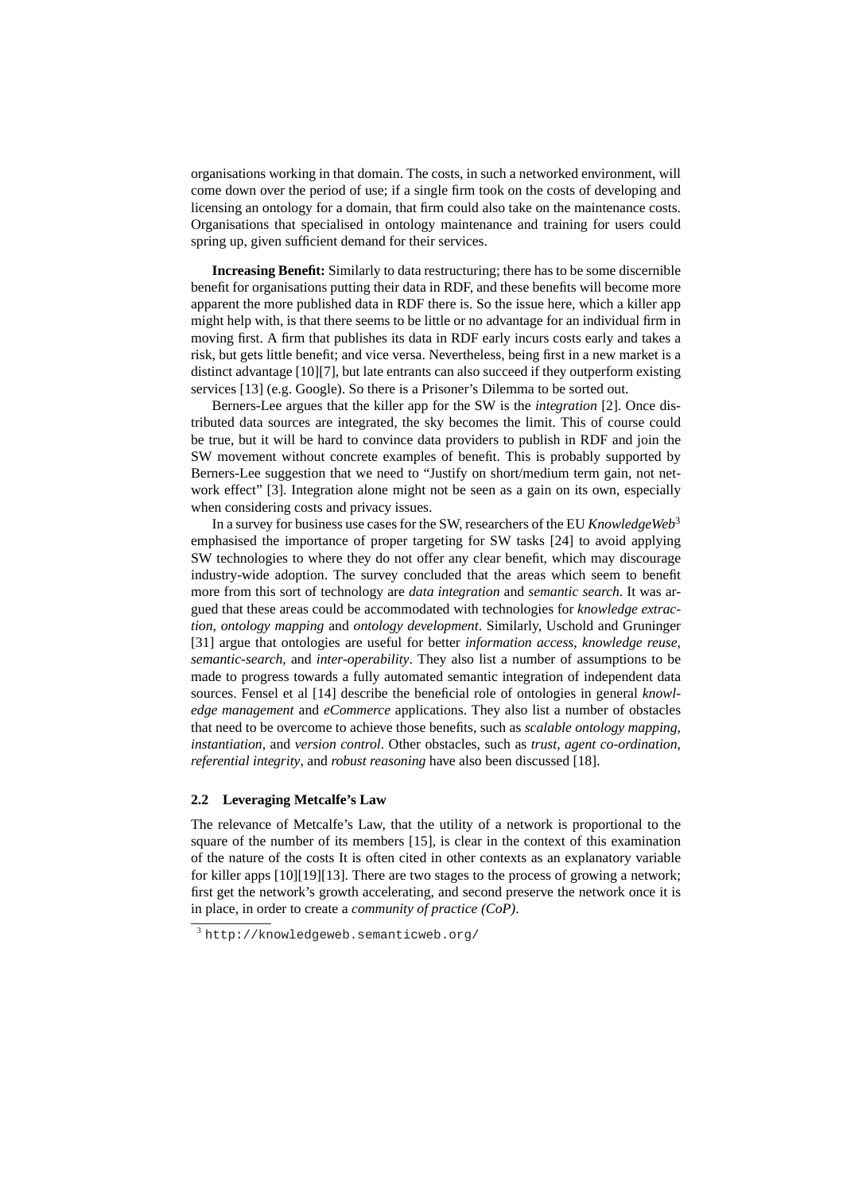organisations working in that domain. The costs, in such a networked environment, will come down over the period of use; if a single firm took on the costs of developing and licensing an ontology for a domain, that firm could also take on the maintenance costs. Organisations that specialised in ontology maintenance and training for users could spring up, given sufficient demand for their services.

**Increasing Benefit:** Similarly to data restructuring; there has to be some discernible benefit for organisations putting their data in RDF, and these benefits will become more apparent the more published data in RDF there is. So the issue here, which a killer app might help with, is that there seems to be little or no advantage for an individual firm in moving first. A firm that publishes its data in RDF early incurs costs early and takes a risk, but gets little benefit; and vice versa. Nevertheless, being first in a new market is a distinct advantage [10][7], but late entrants can also succeed if they outperform existing services [13] (e.g. Google). So there is a Prisoner's Dilemma to be sorted out.

Berners-Lee argues that the killer app for the SW is the *integration* [2]. Once distributed data sources are integrated, the sky becomes the limit. This of course could be true, but it will be hard to convince data providers to publish in RDF and join the SW movement without concrete examples of benefit. This is probably supported by Berners-Lee suggestion that we need to "Justify on short/medium term gain, not network effect" [3]. Integration alone might not be seen as a gain on its own, especially when considering costs and privacy issues.

In a survey for business use cases for the SW, researchers of the EU *KnowledgeWeb*<sup>3</sup> emphasised the importance of proper targeting for SW tasks [24] to avoid applying SW technologies to where they do not offer any clear benefit, which may discourage industry-wide adoption. The survey concluded that the areas which seem to benefit more from this sort of technology are *data integration* and *semantic search*. It was argued that these areas could be accommodated with technologies for *knowledge extraction*, *ontology mapping* and *ontology development*. Similarly, Uschold and Gruninger [31] argue that ontologies are useful for better *information access*, *knowledge reuse*, *semantic-search*, and *inter-operability*. They also list a number of assumptions to be made to progress towards a fully automated semantic integration of independent data sources. Fensel et al [14] describe the beneficial role of ontologies in general *knowledge management* and *eCommerce* applications. They also list a number of obstacles that need to be overcome to achieve those benefits, such as *scalable ontology mapping*, *instantiation*, and *version control*. Other obstacles, such as *trust*, *agent co-ordination*, *referential integrity*, and *robust reasoning* have also been discussed [18].

### **2.2 Leveraging Metcalfe's Law**

The relevance of Metcalfe's Law, that the utility of a network is proportional to the square of the number of its members [15], is clear in the context of this examination of the nature of the costs It is often cited in other contexts as an explanatory variable for killer apps [10][19][13]. There are two stages to the process of growing a network; first get the network's growth accelerating, and second preserve the network once it is in place, in order to create a *community of practice (CoP)*.

<sup>3</sup> http://knowledgeweb.semanticweb.org/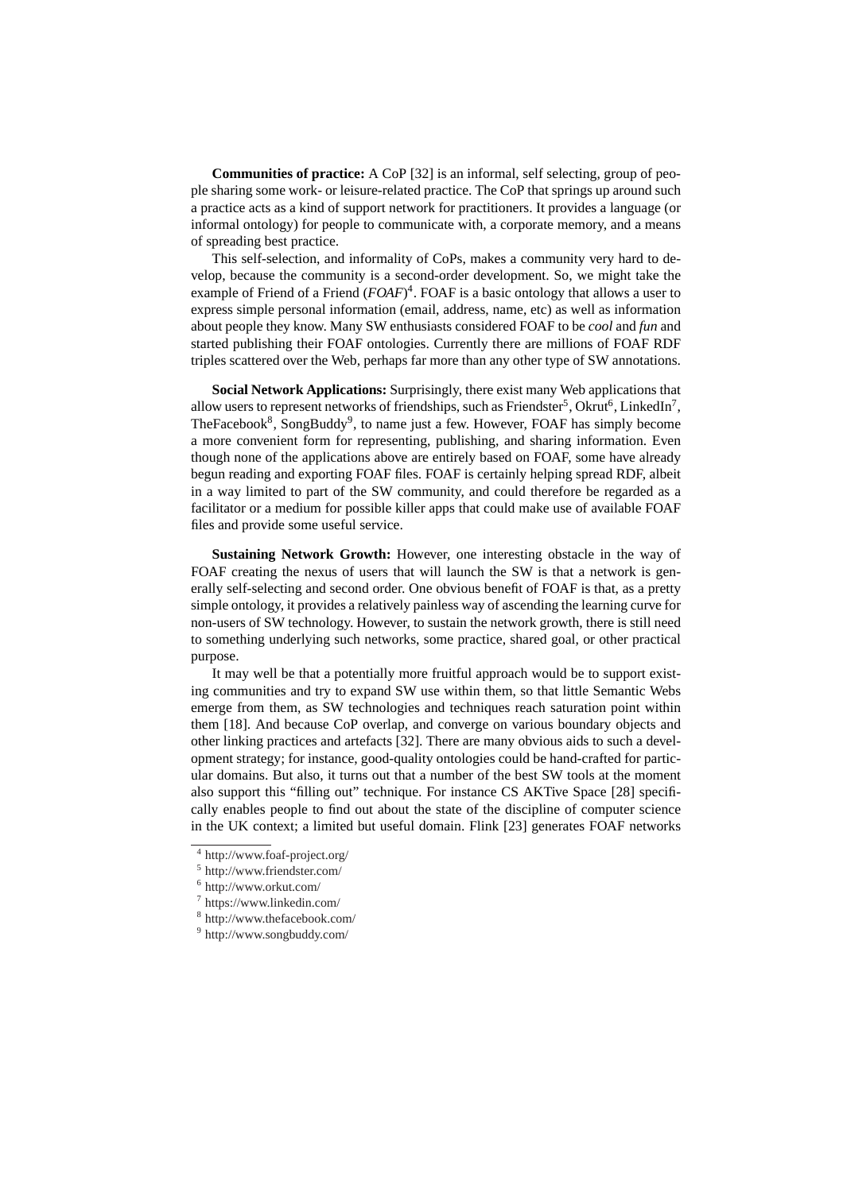**Communities of practice:** A CoP [32] is an informal, self selecting, group of people sharing some work- or leisure-related practice. The CoP that springs up around such a practice acts as a kind of support network for practitioners. It provides a language (or informal ontology) for people to communicate with, a corporate memory, and a means of spreading best practice.

This self-selection, and informality of CoPs, makes a community very hard to develop, because the community is a second-order development. So, we might take the example of Friend of a Friend (*FOAF*)<sup>4</sup>. FOAF is a basic ontology that allows a user to express simple personal information (email, address, name, etc) as well as information about people they know. Many SW enthusiasts considered FOAF to be *cool* and *fun* and started publishing their FOAF ontologies. Currently there are millions of FOAF RDF triples scattered over the Web, perhaps far more than any other type of SW annotations.

**Social Network Applications:** Surprisingly, there exist many Web applications that allow users to represent networks of friendships, such as Friendster<sup>5</sup>, Okrut<sup>6</sup>, LinkedIn<sup>7</sup>, TheFacebook<sup>8</sup>, SongBuddy<sup>9</sup>, to name just a few. However, FOAF has simply become a more convenient form for representing, publishing, and sharing information. Even though none of the applications above are entirely based on FOAF, some have already begun reading and exporting FOAF files. FOAF is certainly helping spread RDF, albeit in a way limited to part of the SW community, and could therefore be regarded as a facilitator or a medium for possible killer apps that could make use of available FOAF files and provide some useful service.

**Sustaining Network Growth:** However, one interesting obstacle in the way of FOAF creating the nexus of users that will launch the SW is that a network is generally self-selecting and second order. One obvious benefit of FOAF is that, as a pretty simple ontology, it provides a relatively painless way of ascending the learning curve for non-users of SW technology. However, to sustain the network growth, there is still need to something underlying such networks, some practice, shared goal, or other practical purpose.

It may well be that a potentially more fruitful approach would be to support existing communities and try to expand SW use within them, so that little Semantic Webs emerge from them, as SW technologies and techniques reach saturation point within them [18]. And because CoP overlap, and converge on various boundary objects and other linking practices and artefacts [32]. There are many obvious aids to such a development strategy; for instance, good-quality ontologies could be hand-crafted for particular domains. But also, it turns out that a number of the best SW tools at the moment also support this "filling out" technique. For instance CS AKTive Space [28] specifically enables people to find out about the state of the discipline of computer science in the UK context; a limited but useful domain. Flink [23] generates FOAF networks

<sup>4</sup> http://www.foaf-project.org/

<sup>5</sup> http://www.friendster.com/

<sup>6</sup> http://www.orkut.com/

<sup>7</sup> https://www.linkedin.com/

<sup>8</sup> http://www.thefacebook.com/

<sup>9</sup> http://www.songbuddy.com/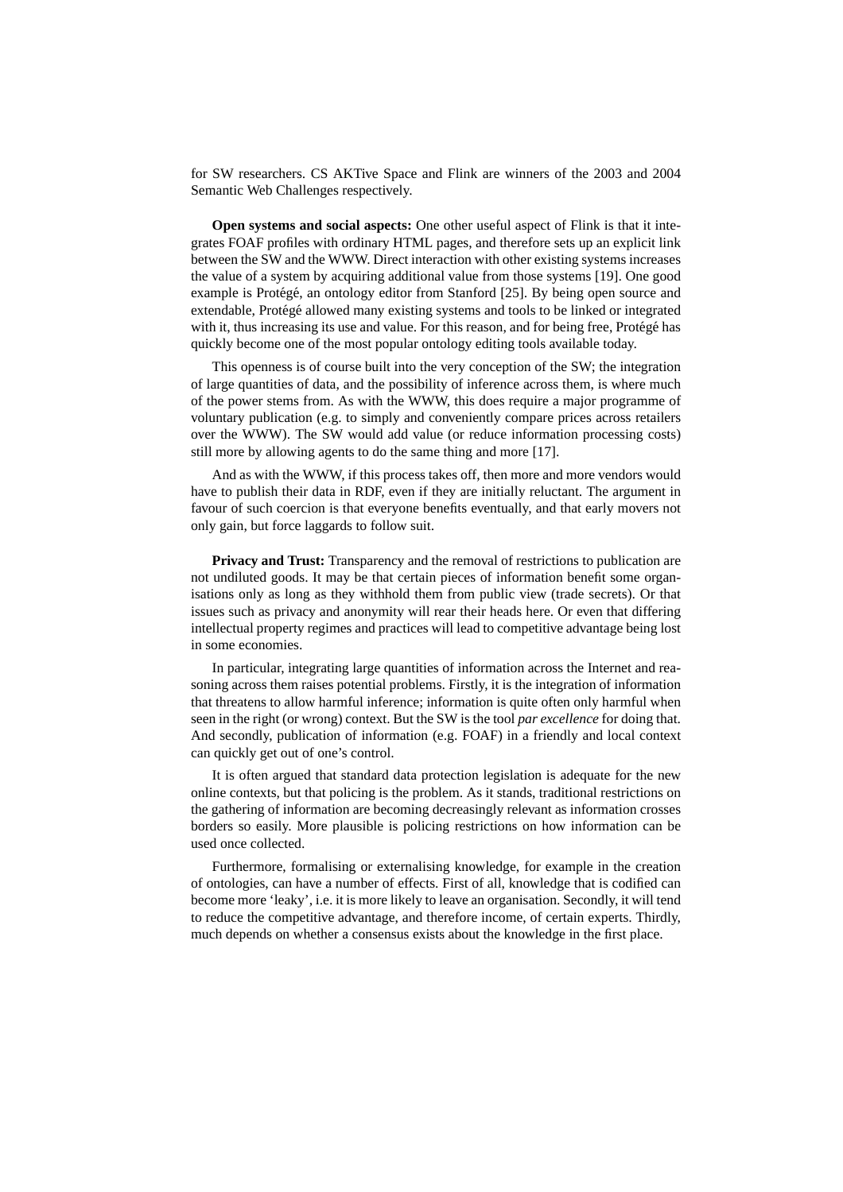for SW researchers. CS AKTive Space and Flink are winners of the 2003 and 2004 Semantic Web Challenges respectively.

**Open systems and social aspects:** One other useful aspect of Flink is that it integrates FOAF profiles with ordinary HTML pages, and therefore sets up an explicit link between the SW and the WWW. Direct interaction with other existing systems increases the value of a system by acquiring additional value from those systems [19]. One good example is Protégé, an ontology editor from Stanford  $[25]$ . By being open source and extendable, Protégé allowed many existing systems and tools to be linked or integrated with it, thus increasing its use and value. For this reason, and for being free, Protégé has quickly become one of the most popular ontology editing tools available today.

This openness is of course built into the very conception of the SW; the integration of large quantities of data, and the possibility of inference across them, is where much of the power stems from. As with the WWW, this does require a major programme of voluntary publication (e.g. to simply and conveniently compare prices across retailers over the WWW). The SW would add value (or reduce information processing costs) still more by allowing agents to do the same thing and more [17].

And as with the WWW, if this process takes off, then more and more vendors would have to publish their data in RDF, even if they are initially reluctant. The argument in favour of such coercion is that everyone benefits eventually, and that early movers not only gain, but force laggards to follow suit.

**Privacy and Trust:** Transparency and the removal of restrictions to publication are not undiluted goods. It may be that certain pieces of information benefit some organisations only as long as they withhold them from public view (trade secrets). Or that issues such as privacy and anonymity will rear their heads here. Or even that differing intellectual property regimes and practices will lead to competitive advantage being lost in some economies.

In particular, integrating large quantities of information across the Internet and reasoning across them raises potential problems. Firstly, it is the integration of information that threatens to allow harmful inference; information is quite often only harmful when seen in the right (or wrong) context. But the SW is the tool *par excellence* for doing that. And secondly, publication of information (e.g. FOAF) in a friendly and local context can quickly get out of one's control.

It is often argued that standard data protection legislation is adequate for the new online contexts, but that policing is the problem. As it stands, traditional restrictions on the gathering of information are becoming decreasingly relevant as information crosses borders so easily. More plausible is policing restrictions on how information can be used once collected.

Furthermore, formalising or externalising knowledge, for example in the creation of ontologies, can have a number of effects. First of all, knowledge that is codified can become more 'leaky', i.e. it is more likely to leave an organisation. Secondly, it will tend to reduce the competitive advantage, and therefore income, of certain experts. Thirdly, much depends on whether a consensus exists about the knowledge in the first place.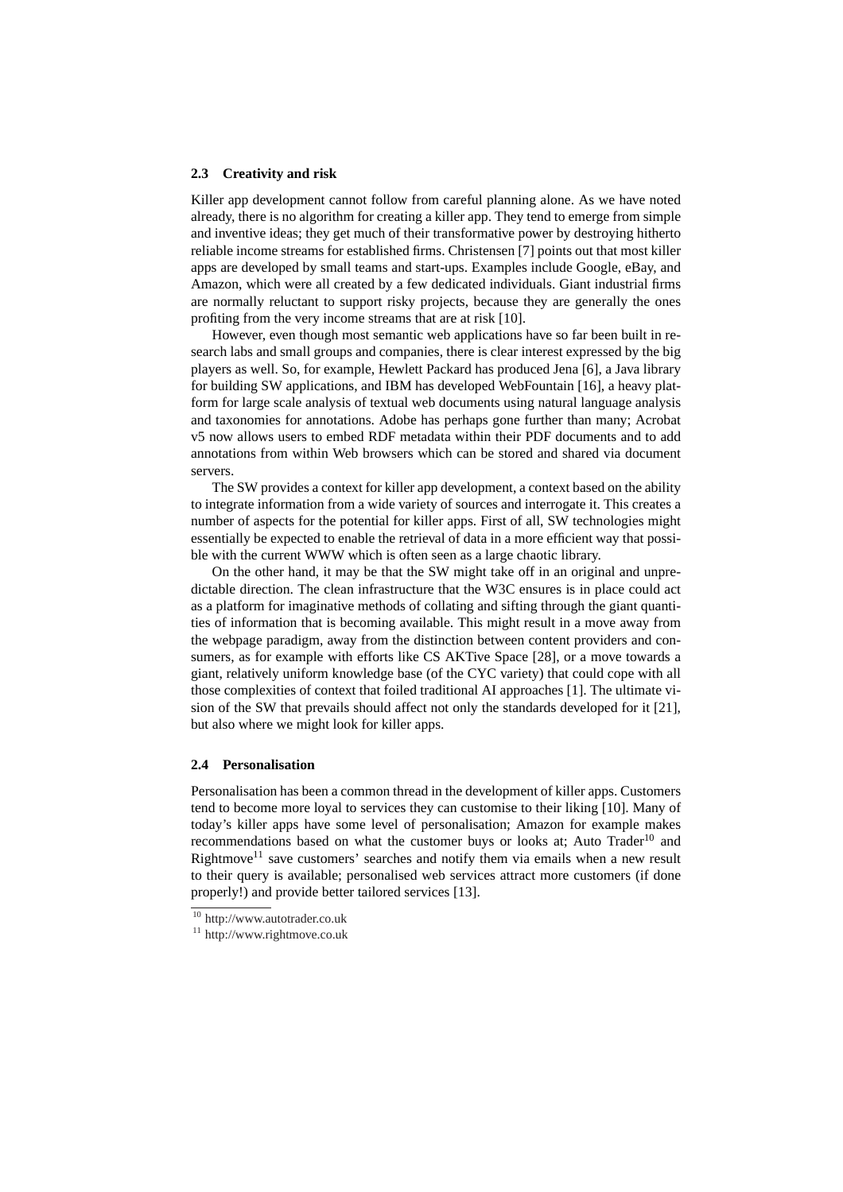#### **2.3 Creativity and risk**

Killer app development cannot follow from careful planning alone. As we have noted already, there is no algorithm for creating a killer app. They tend to emerge from simple and inventive ideas; they get much of their transformative power by destroying hitherto reliable income streams for established firms. Christensen [7] points out that most killer apps are developed by small teams and start-ups. Examples include Google, eBay, and Amazon, which were all created by a few dedicated individuals. Giant industrial firms are normally reluctant to support risky projects, because they are generally the ones profiting from the very income streams that are at risk [10].

However, even though most semantic web applications have so far been built in research labs and small groups and companies, there is clear interest expressed by the big players as well. So, for example, Hewlett Packard has produced Jena [6], a Java library for building SW applications, and IBM has developed WebFountain [16], a heavy platform for large scale analysis of textual web documents using natural language analysis and taxonomies for annotations. Adobe has perhaps gone further than many; Acrobat v5 now allows users to embed RDF metadata within their PDF documents and to add annotations from within Web browsers which can be stored and shared via document servers.

The SW provides a context for killer app development, a context based on the ability to integrate information from a wide variety of sources and interrogate it. This creates a number of aspects for the potential for killer apps. First of all, SW technologies might essentially be expected to enable the retrieval of data in a more efficient way that possible with the current WWW which is often seen as a large chaotic library.

On the other hand, it may be that the SW might take off in an original and unpredictable direction. The clean infrastructure that the W3C ensures is in place could act as a platform for imaginative methods of collating and sifting through the giant quantities of information that is becoming available. This might result in a move away from the webpage paradigm, away from the distinction between content providers and consumers, as for example with efforts like CS AKTive Space [28], or a move towards a giant, relatively uniform knowledge base (of the CYC variety) that could cope with all those complexities of context that foiled traditional AI approaches [1]. The ultimate vision of the SW that prevails should affect not only the standards developed for it [21], but also where we might look for killer apps.

#### **2.4 Personalisation**

Personalisation has been a common thread in the development of killer apps. Customers tend to become more loyal to services they can customise to their liking [10]. Many of today's killer apps have some level of personalisation; Amazon for example makes recommendations based on what the customer buys or looks at; Auto Trader<sup>10</sup> and Rightmove<sup>11</sup> save customers' searches and notify them via emails when a new result to their query is available; personalised web services attract more customers (if done properly!) and provide better tailored services [13].

<sup>10</sup> http://www.autotrader.co.uk

<sup>11</sup> http://www.rightmove.co.uk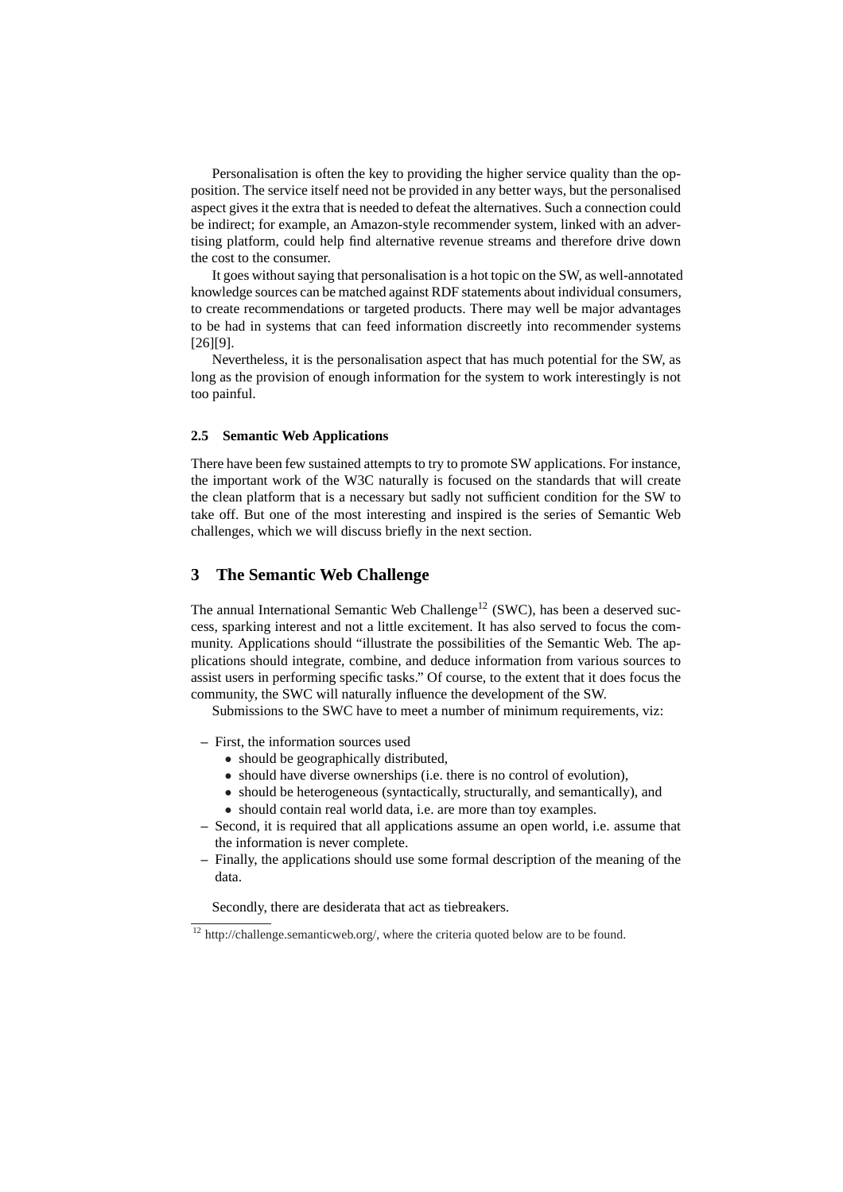Personalisation is often the key to providing the higher service quality than the opposition. The service itself need not be provided in any better ways, but the personalised aspect gives it the extra that is needed to defeat the alternatives. Such a connection could be indirect; for example, an Amazon-style recommender system, linked with an advertising platform, could help find alternative revenue streams and therefore drive down the cost to the consumer.

It goes without saying that personalisation is a hot topic on the SW, as well-annotated knowledge sources can be matched against RDF statements about individual consumers, to create recommendations or targeted products. There may well be major advantages to be had in systems that can feed information discreetly into recommender systems [26][9].

Nevertheless, it is the personalisation aspect that has much potential for the SW, as long as the provision of enough information for the system to work interestingly is not too painful.

#### **2.5 Semantic Web Applications**

There have been few sustained attempts to try to promote SW applications. For instance, the important work of the W3C naturally is focused on the standards that will create the clean platform that is a necessary but sadly not sufficient condition for the SW to take off. But one of the most interesting and inspired is the series of Semantic Web challenges, which we will discuss briefly in the next section.

# **3 The Semantic Web Challenge**

The annual International Semantic Web Challenge<sup>12</sup> (SWC), has been a deserved success, sparking interest and not a little excitement. It has also served to focus the community. Applications should "illustrate the possibilities of the Semantic Web. The applications should integrate, combine, and deduce information from various sources to assist users in performing specific tasks." Of course, to the extent that it does focus the community, the SWC will naturally influence the development of the SW.

Submissions to the SWC have to meet a number of minimum requirements, viz:

- **–** First, the information sources used
	- should be geographically distributed,
	- should have diverse ownerships (i.e. there is no control of evolution),
	- should be heterogeneous (syntactically, structurally, and semantically), and
	- should contain real world data, i.e. are more than toy examples.
- **–** Second, it is required that all applications assume an open world, i.e. assume that the information is never complete.
- **–** Finally, the applications should use some formal description of the meaning of the data.

Secondly, there are desiderata that act as tiebreakers.

<sup>&</sup>lt;sup>12</sup> http://challenge.semanticweb.org/, where the criteria quoted below are to be found.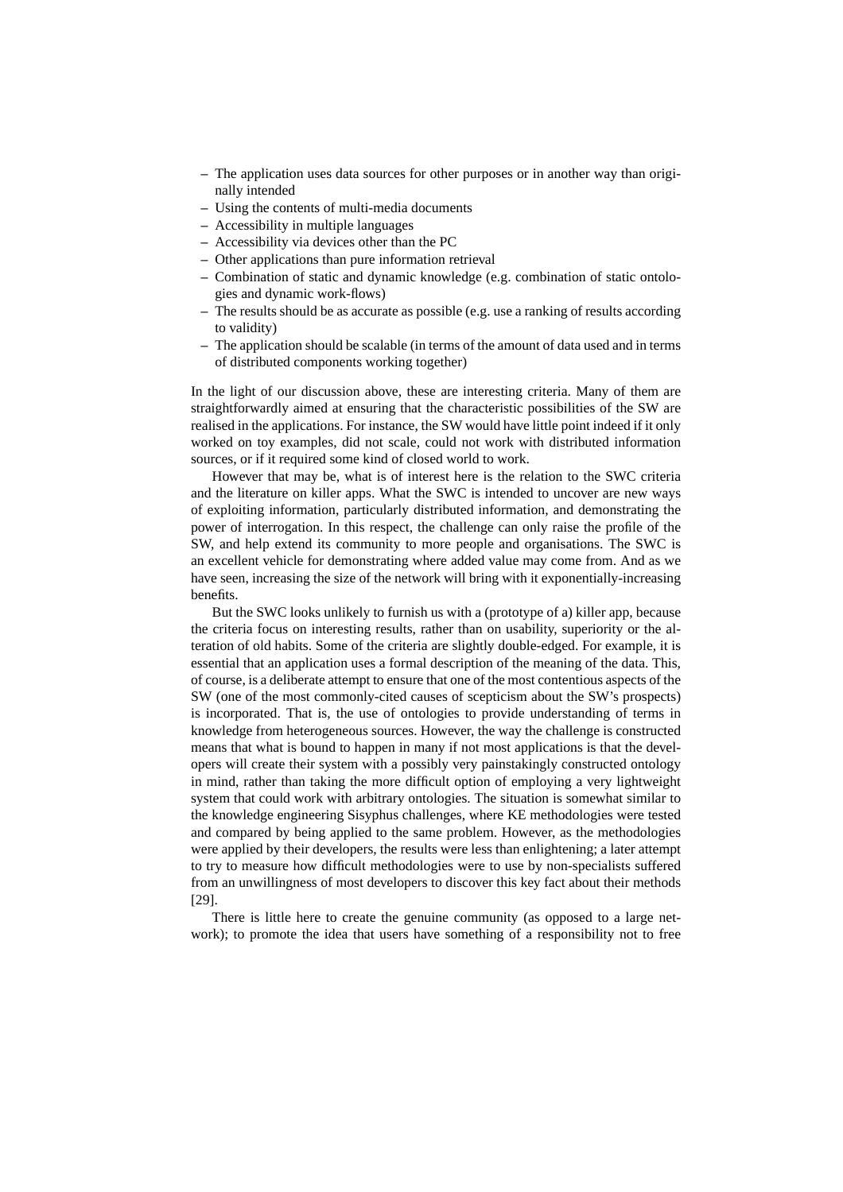- **–** The application uses data sources for other purposes or in another way than originally intended
- **–** Using the contents of multi-media documents
- **–** Accessibility in multiple languages
- **–** Accessibility via devices other than the PC
- **–** Other applications than pure information retrieval
- **–** Combination of static and dynamic knowledge (e.g. combination of static ontologies and dynamic work-flows)
- **–** The results should be as accurate as possible (e.g. use a ranking of results according to validity)
- **–** The application should be scalable (in terms of the amount of data used and in terms of distributed components working together)

In the light of our discussion above, these are interesting criteria. Many of them are straightforwardly aimed at ensuring that the characteristic possibilities of the SW are realised in the applications. For instance, the SW would have little point indeed if it only worked on toy examples, did not scale, could not work with distributed information sources, or if it required some kind of closed world to work.

However that may be, what is of interest here is the relation to the SWC criteria and the literature on killer apps. What the SWC is intended to uncover are new ways of exploiting information, particularly distributed information, and demonstrating the power of interrogation. In this respect, the challenge can only raise the profile of the SW, and help extend its community to more people and organisations. The SWC is an excellent vehicle for demonstrating where added value may come from. And as we have seen, increasing the size of the network will bring with it exponentially-increasing benefits.

But the SWC looks unlikely to furnish us with a (prototype of a) killer app, because the criteria focus on interesting results, rather than on usability, superiority or the alteration of old habits. Some of the criteria are slightly double-edged. For example, it is essential that an application uses a formal description of the meaning of the data. This, of course, is a deliberate attempt to ensure that one of the most contentious aspects of the SW (one of the most commonly-cited causes of scepticism about the SW's prospects) is incorporated. That is, the use of ontologies to provide understanding of terms in knowledge from heterogeneous sources. However, the way the challenge is constructed means that what is bound to happen in many if not most applications is that the developers will create their system with a possibly very painstakingly constructed ontology in mind, rather than taking the more difficult option of employing a very lightweight system that could work with arbitrary ontologies. The situation is somewhat similar to the knowledge engineering Sisyphus challenges, where KE methodologies were tested and compared by being applied to the same problem. However, as the methodologies were applied by their developers, the results were less than enlightening; a later attempt to try to measure how difficult methodologies were to use by non-specialists suffered from an unwillingness of most developers to discover this key fact about their methods [29].

There is little here to create the genuine community (as opposed to a large network); to promote the idea that users have something of a responsibility not to free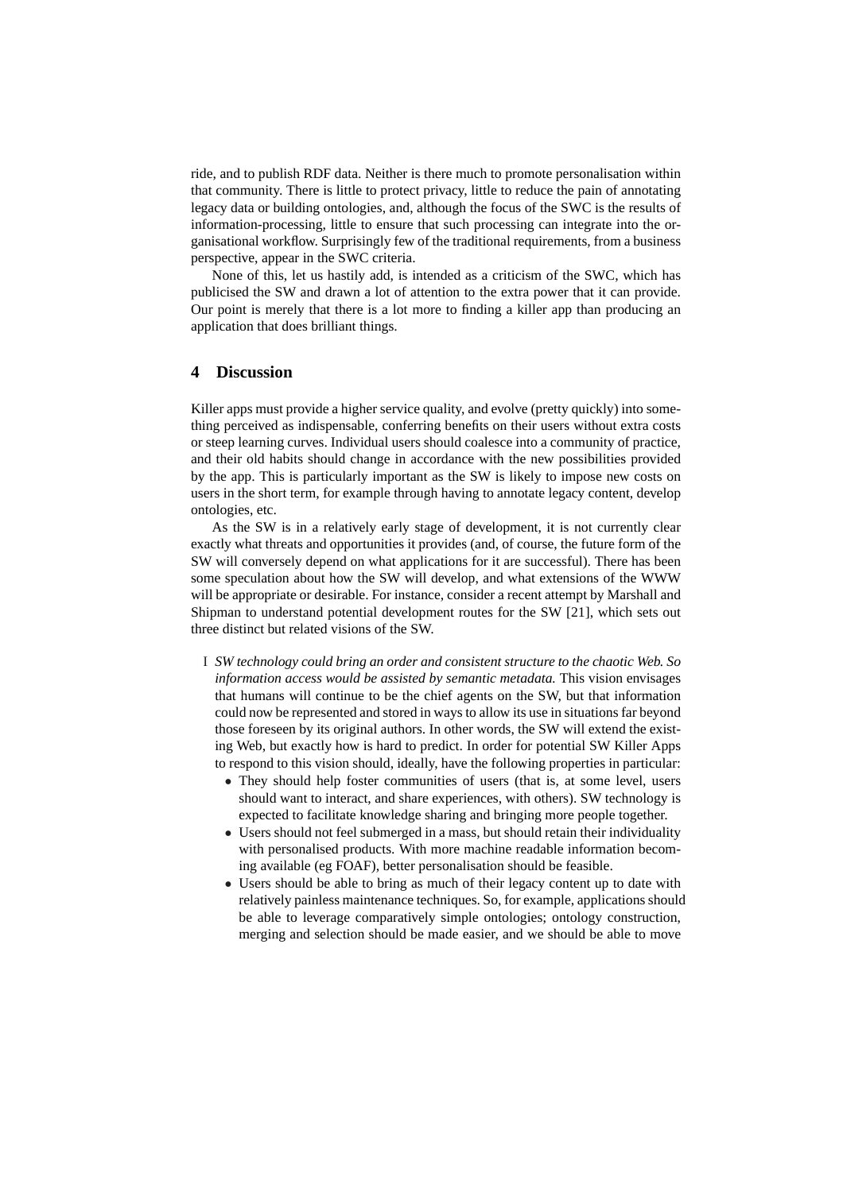ride, and to publish RDF data. Neither is there much to promote personalisation within that community. There is little to protect privacy, little to reduce the pain of annotating legacy data or building ontologies, and, although the focus of the SWC is the results of information-processing, little to ensure that such processing can integrate into the organisational workflow. Surprisingly few of the traditional requirements, from a business perspective, appear in the SWC criteria.

None of this, let us hastily add, is intended as a criticism of the SWC, which has publicised the SW and drawn a lot of attention to the extra power that it can provide. Our point is merely that there is a lot more to finding a killer app than producing an application that does brilliant things.

## **4 Discussion**

Killer apps must provide a higher service quality, and evolve (pretty quickly) into something perceived as indispensable, conferring benefits on their users without extra costs or steep learning curves. Individual users should coalesce into a community of practice, and their old habits should change in accordance with the new possibilities provided by the app. This is particularly important as the SW is likely to impose new costs on users in the short term, for example through having to annotate legacy content, develop ontologies, etc.

As the SW is in a relatively early stage of development, it is not currently clear exactly what threats and opportunities it provides (and, of course, the future form of the SW will conversely depend on what applications for it are successful). There has been some speculation about how the SW will develop, and what extensions of the WWW will be appropriate or desirable. For instance, consider a recent attempt by Marshall and Shipman to understand potential development routes for the SW [21], which sets out three distinct but related visions of the SW.

- I *SW technology could bring an order and consistent structure to the chaotic Web. So information access would be assisted by semantic metadata.* This vision envisages that humans will continue to be the chief agents on the SW, but that information could now be represented and stored in ways to allow its use in situations far beyond those foreseen by its original authors. In other words, the SW will extend the existing Web, but exactly how is hard to predict. In order for potential SW Killer Apps to respond to this vision should, ideally, have the following properties in particular:
	- They should help foster communities of users (that is, at some level, users should want to interact, and share experiences, with others). SW technology is expected to facilitate knowledge sharing and bringing more people together.
	- Users should not feel submerged in a mass, but should retain their individuality with personalised products. With more machine readable information becoming available (eg FOAF), better personalisation should be feasible.
	- Users should be able to bring as much of their legacy content up to date with relatively painless maintenance techniques. So, for example, applications should be able to leverage comparatively simple ontologies; ontology construction, merging and selection should be made easier, and we should be able to move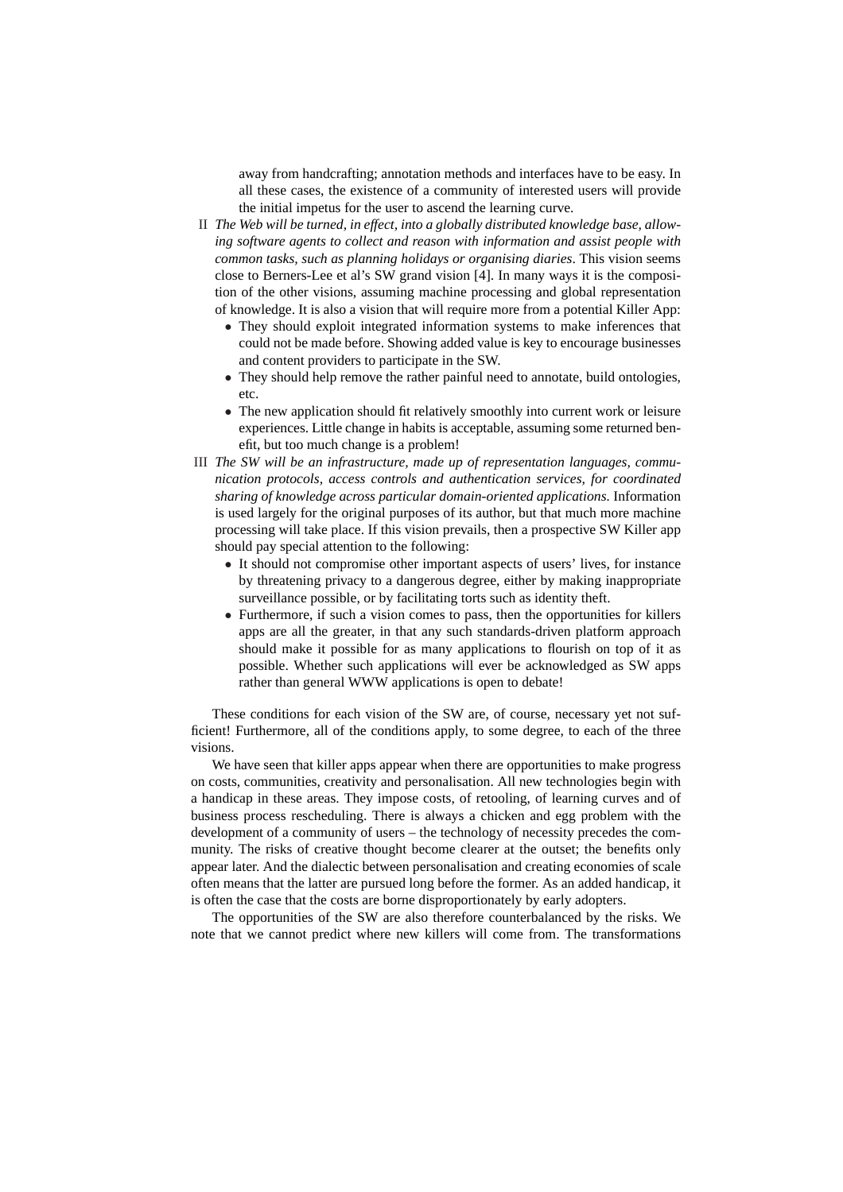away from handcrafting; annotation methods and interfaces have to be easy. In all these cases, the existence of a community of interested users will provide the initial impetus for the user to ascend the learning curve.

- II *The Web will be turned, in effect, into a globally distributed knowledge base, allowing software agents to collect and reason with information and assist people with common tasks, such as planning holidays or organising diaries*. This vision seems close to Berners-Lee et al's SW grand vision [4]. In many ways it is the composition of the other visions, assuming machine processing and global representation of knowledge. It is also a vision that will require more from a potential Killer App:
	- They should exploit integrated information systems to make inferences that could not be made before. Showing added value is key to encourage businesses and content providers to participate in the SW.
	- They should help remove the rather painful need to annotate, build ontologies, etc.
	- The new application should fit relatively smoothly into current work or leisure experiences. Little change in habits is acceptable, assuming some returned benefit, but too much change is a problem!
- III *The SW will be an infrastructure, made up of representation languages, communication protocols, access controls and authentication services, for coordinated sharing of knowledge across particular domain-oriented applications.* Information is used largely for the original purposes of its author, but that much more machine processing will take place. If this vision prevails, then a prospective SW Killer app should pay special attention to the following:
	- It should not compromise other important aspects of users' lives, for instance by threatening privacy to a dangerous degree, either by making inappropriate surveillance possible, or by facilitating torts such as identity theft.
	- Furthermore, if such a vision comes to pass, then the opportunities for killers apps are all the greater, in that any such standards-driven platform approach should make it possible for as many applications to flourish on top of it as possible. Whether such applications will ever be acknowledged as SW apps rather than general WWW applications is open to debate!

These conditions for each vision of the SW are, of course, necessary yet not sufficient! Furthermore, all of the conditions apply, to some degree, to each of the three visions.

We have seen that killer apps appear when there are opportunities to make progress on costs, communities, creativity and personalisation. All new technologies begin with a handicap in these areas. They impose costs, of retooling, of learning curves and of business process rescheduling. There is always a chicken and egg problem with the development of a community of users – the technology of necessity precedes the community. The risks of creative thought become clearer at the outset; the benefits only appear later. And the dialectic between personalisation and creating economies of scale often means that the latter are pursued long before the former. As an added handicap, it is often the case that the costs are borne disproportionately by early adopters.

The opportunities of the SW are also therefore counterbalanced by the risks. We note that we cannot predict where new killers will come from. The transformations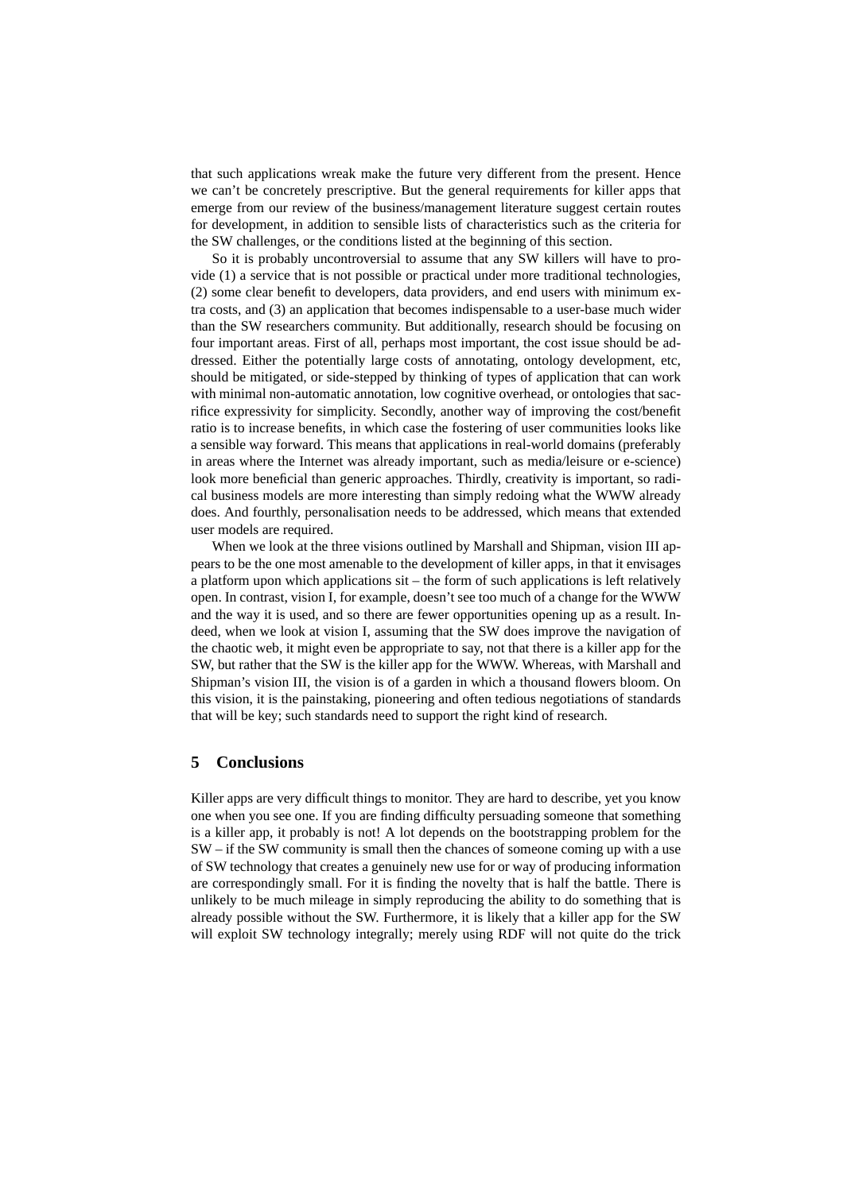that such applications wreak make the future very different from the present. Hence we can't be concretely prescriptive. But the general requirements for killer apps that emerge from our review of the business/management literature suggest certain routes for development, in addition to sensible lists of characteristics such as the criteria for the SW challenges, or the conditions listed at the beginning of this section.

So it is probably uncontroversial to assume that any SW killers will have to provide (1) a service that is not possible or practical under more traditional technologies, (2) some clear benefit to developers, data providers, and end users with minimum extra costs, and (3) an application that becomes indispensable to a user-base much wider than the SW researchers community. But additionally, research should be focusing on four important areas. First of all, perhaps most important, the cost issue should be addressed. Either the potentially large costs of annotating, ontology development, etc, should be mitigated, or side-stepped by thinking of types of application that can work with minimal non-automatic annotation, low cognitive overhead, or ontologies that sacrifice expressivity for simplicity. Secondly, another way of improving the cost/benefit ratio is to increase benefits, in which case the fostering of user communities looks like a sensible way forward. This means that applications in real-world domains (preferably in areas where the Internet was already important, such as media/leisure or e-science) look more beneficial than generic approaches. Thirdly, creativity is important, so radical business models are more interesting than simply redoing what the WWW already does. And fourthly, personalisation needs to be addressed, which means that extended user models are required.

When we look at the three visions outlined by Marshall and Shipman, vision III appears to be the one most amenable to the development of killer apps, in that it envisages a platform upon which applications sit – the form of such applications is left relatively open. In contrast, vision I, for example, doesn't see too much of a change for the WWW and the way it is used, and so there are fewer opportunities opening up as a result. Indeed, when we look at vision I, assuming that the SW does improve the navigation of the chaotic web, it might even be appropriate to say, not that there is a killer app for the SW, but rather that the SW is the killer app for the WWW. Whereas, with Marshall and Shipman's vision III, the vision is of a garden in which a thousand flowers bloom. On this vision, it is the painstaking, pioneering and often tedious negotiations of standards that will be key; such standards need to support the right kind of research.

# **5 Conclusions**

Killer apps are very difficult things to monitor. They are hard to describe, yet you know one when you see one. If you are finding difficulty persuading someone that something is a killer app, it probably is not! A lot depends on the bootstrapping problem for the  $SW - if the SW community is small, then the chances of someone coming up with a use.$ of SW technology that creates a genuinely new use for or way of producing information are correspondingly small. For it is finding the novelty that is half the battle. There is unlikely to be much mileage in simply reproducing the ability to do something that is already possible without the SW. Furthermore, it is likely that a killer app for the SW will exploit SW technology integrally; merely using RDF will not quite do the trick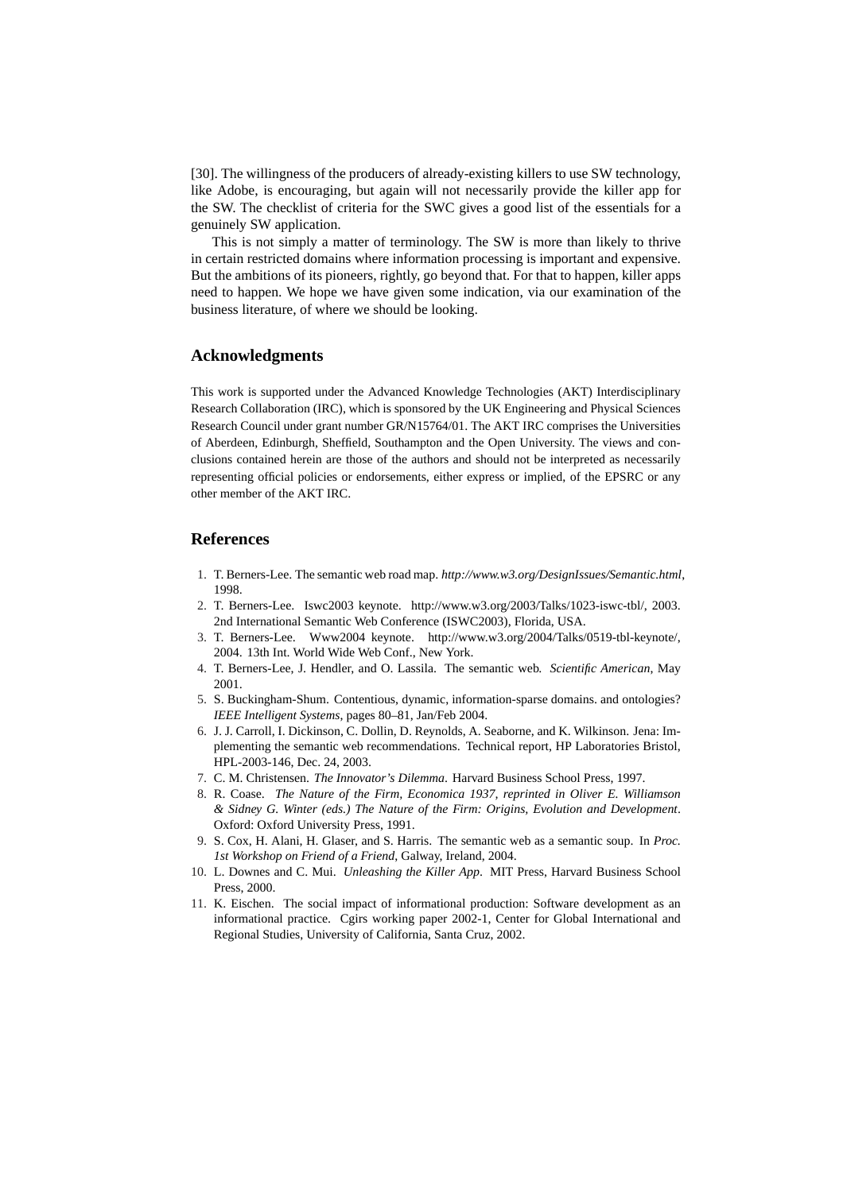[30]. The willingness of the producers of already-existing killers to use SW technology, like Adobe, is encouraging, but again will not necessarily provide the killer app for the SW. The checklist of criteria for the SWC gives a good list of the essentials for a genuinely SW application.

This is not simply a matter of terminology. The SW is more than likely to thrive in certain restricted domains where information processing is important and expensive. But the ambitions of its pioneers, rightly, go beyond that. For that to happen, killer apps need to happen. We hope we have given some indication, via our examination of the business literature, of where we should be looking.

# **Acknowledgments**

This work is supported under the Advanced Knowledge Technologies (AKT) Interdisciplinary Research Collaboration (IRC), which is sponsored by the UK Engineering and Physical Sciences Research Council under grant number GR/N15764/01. The AKT IRC comprises the Universities of Aberdeen, Edinburgh, Sheffield, Southampton and the Open University. The views and conclusions contained herein are those of the authors and should not be interpreted as necessarily representing official policies or endorsements, either express or implied, of the EPSRC or any other member of the AKT IRC.

## **References**

- 1. T. Berners-Lee. The semantic web road map. *http://www.w3.org/DesignIssues/Semantic.html*, 1998.
- 2. T. Berners-Lee. Iswc2003 keynote. http://www.w3.org/2003/Talks/1023-iswc-tbl/, 2003. 2nd International Semantic Web Conference (ISWC2003), Florida, USA.
- 3. T. Berners-Lee. Www2004 keynote. http://www.w3.org/2004/Talks/0519-tbl-keynote/, 2004. 13th Int. World Wide Web Conf., New York.
- 4. T. Berners-Lee, J. Hendler, and O. Lassila. The semantic web. *Scientific American*, May 2001.
- 5. S. Buckingham-Shum. Contentious, dynamic, information-sparse domains. and ontologies? *IEEE Intelligent Systems*, pages 80–81, Jan/Feb 2004.
- 6. J. J. Carroll, I. Dickinson, C. Dollin, D. Reynolds, A. Seaborne, and K. Wilkinson. Jena: Implementing the semantic web recommendations. Technical report, HP Laboratories Bristol, HPL-2003-146, Dec. 24, 2003.
- 7. C. M. Christensen. *The Innovator's Dilemma*. Harvard Business School Press, 1997.
- 8. R. Coase. *The Nature of the Firm, Economica 1937, reprinted in Oliver E. Williamson & Sidney G. Winter (eds.) The Nature of the Firm: Origins, Evolution and Development*. Oxford: Oxford University Press, 1991.
- 9. S. Cox, H. Alani, H. Glaser, and S. Harris. The semantic web as a semantic soup. In *Proc. 1st Workshop on Friend of a Friend*, Galway, Ireland, 2004.
- 10. L. Downes and C. Mui. *Unleashing the Killer App*. MIT Press, Harvard Business School Press, 2000.
- 11. K. Eischen. The social impact of informational production: Software development as an informational practice. Cgirs working paper 2002-1, Center for Global International and Regional Studies, University of California, Santa Cruz, 2002.